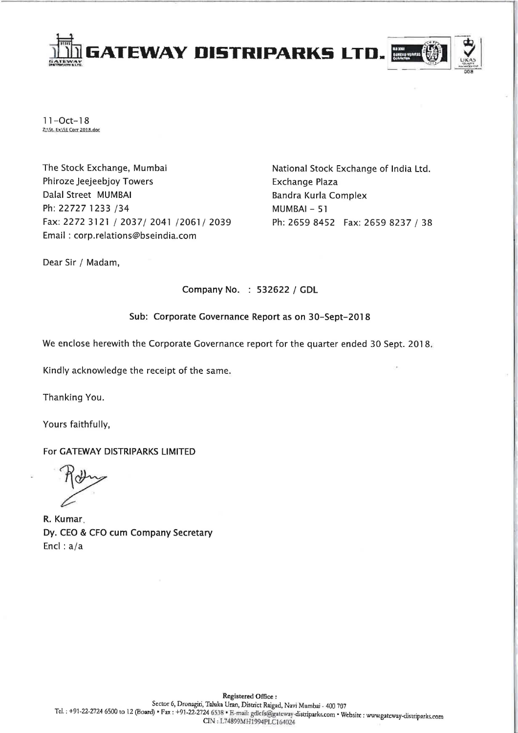

 $11 - Oct - 18$ <br>Z:\St. Ex\SE Corr 2018.doc

The Stock Exchange, Mumbai Phiroze Jeejeebjoy Towers Dalal Street MUMBAI Ph: 22727 1233 /34 Fax: 2272 3121/2037/2041/2061/2039 Email: corp.relations@bseindia.com

National Stock Exchange of India Ltd. Exchange Plaza Bandra Kurla Complex MUMBAI - 51 Ph: 2659 8452 Fax: 26598237 / 38

Dear Sir / Madam,

Company No. : 532622 / GDL

# Sub: Corporate Governance Report as on 30-Sept-2018

We enclose herewith the Corporate Governance report for the quarter ended 30 Sept. 2018.

Kindly acknowledge the receipt of the same.

Thanking You.

Yours faithfully,

For GATEWAY DISTRIPARKS LIMITED

R. Kumar. Dy. CEO & CFO cum Company Secretary Encl : a/a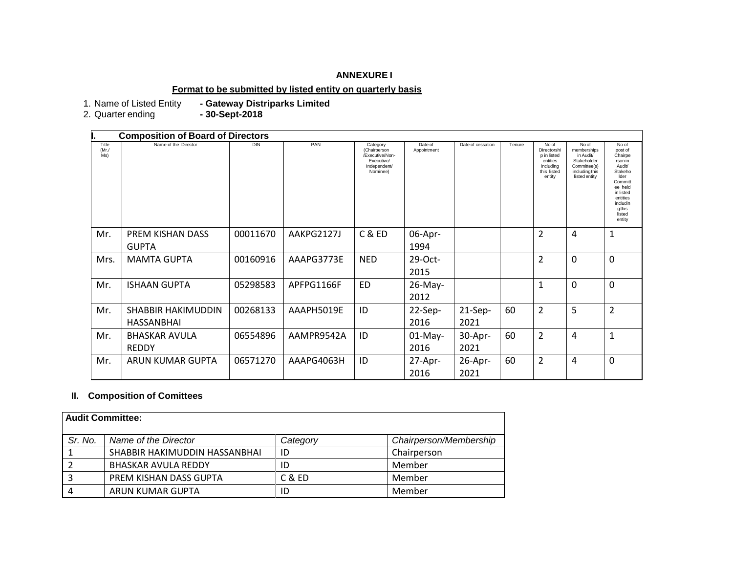## **ANNEXURE I**

# **Format to be submitted by listed entity on quarterly basis**

1. Name of Listed Entity<br>2. Quarter ending

- Gateway Distriparks Limited<br>- 30-Sept-2018

|                      | <b>Composition of Board of Directors</b> |          |            |                                                                                       |                        |                   |        |                                                                                       |                                                                                                     |                                                                                                                                                             |
|----------------------|------------------------------------------|----------|------------|---------------------------------------------------------------------------------------|------------------------|-------------------|--------|---------------------------------------------------------------------------------------|-----------------------------------------------------------------------------------------------------|-------------------------------------------------------------------------------------------------------------------------------------------------------------|
| Title<br>(Mr)<br>Ms) | Name of the Director                     | DIN      | PAN        | Category<br>(Chairperson<br>/Executive/Non-<br>Executive/<br>Independent/<br>Nominee) | Date of<br>Appointment | Date of cessation | Tenure | No of<br>Directorshi<br>p in listed<br>entities<br>including<br>this listed<br>entity | No of<br>memberships<br>in Audit/<br>Stakeholder<br>Committee(s)<br>including this<br>listed entity | No of<br>post of<br>Chairpe<br>rson in<br>Audit/<br>Stakeho<br>Ider<br>Committ<br>ee held<br>in listed<br>entities<br>includin<br>gthis<br>listed<br>entity |
| Mr.                  | PREM KISHAN DASS                         | 00011670 | AAKPG2127J | C & ED                                                                                | 06-Apr-                |                   |        | 2                                                                                     | 4                                                                                                   | $\mathbf{1}$                                                                                                                                                |
|                      | <b>GUPTA</b>                             |          |            |                                                                                       | 1994                   |                   |        |                                                                                       |                                                                                                     |                                                                                                                                                             |
| Mrs.                 | <b>MAMTA GUPTA</b>                       | 00160916 | AAAPG3773E | <b>NED</b>                                                                            | 29-Oct-                |                   |        | 2                                                                                     | $\Omega$                                                                                            | $\overline{0}$                                                                                                                                              |
|                      |                                          |          |            |                                                                                       | 2015                   |                   |        |                                                                                       |                                                                                                     |                                                                                                                                                             |
| Mr.                  | <b>ISHAAN GUPTA</b>                      | 05298583 | APFPG1166F | ED                                                                                    | 26-May-                |                   |        | $\mathbf{1}$                                                                          | 0                                                                                                   | $\overline{0}$                                                                                                                                              |
|                      |                                          |          |            |                                                                                       | 2012                   |                   |        |                                                                                       |                                                                                                     |                                                                                                                                                             |
| Mr.                  | <b>SHABBIR HAKIMUDDIN</b>                | 00268133 | AAAPH5019E | ID                                                                                    | 22-Sep-                | $21-Sep-$         | 60     | $\overline{2}$                                                                        | 5                                                                                                   | $\overline{2}$                                                                                                                                              |
|                      | HASSANBHAI                               |          |            |                                                                                       | 2016                   | 2021              |        |                                                                                       |                                                                                                     |                                                                                                                                                             |
| Mr.                  | <b>BHASKAR AVULA</b>                     | 06554896 | AAMPR9542A | ID                                                                                    | $01-May-$              | 30-Apr-           | 60     | $\overline{2}$                                                                        | 4                                                                                                   | $\mathbf{1}$                                                                                                                                                |
|                      | <b>REDDY</b>                             |          |            |                                                                                       | 2016                   | 2021              |        |                                                                                       |                                                                                                     |                                                                                                                                                             |
| Mr.                  | ARUN KUMAR GUPTA                         | 06571270 | AAAPG4063H | ID                                                                                    | 27-Apr-                | $26$ -Apr-        | 60     | $\overline{2}$                                                                        | 4                                                                                                   | $\Omega$                                                                                                                                                    |
|                      |                                          |          |            |                                                                                       | 2016                   | 2021              |        |                                                                                       |                                                                                                     |                                                                                                                                                             |

#### **II. Composition of Comittees**

| Audit Committee: |                               |          |                        |  |  |
|------------------|-------------------------------|----------|------------------------|--|--|
| Sr. No.          | Name of the Director          | Category | Chairperson/Membership |  |  |
|                  | SHABBIR HAKIMUDDIN HASSANBHAI | ID       | Chairperson            |  |  |
|                  | <b>BHASKAR AVULA REDDY</b>    | ID       | Member                 |  |  |
|                  | PREM KISHAN DASS GUPTA        | C & ED   | Member                 |  |  |
| 4                | ARUN KUMAR GUPTA              | ID       | Member                 |  |  |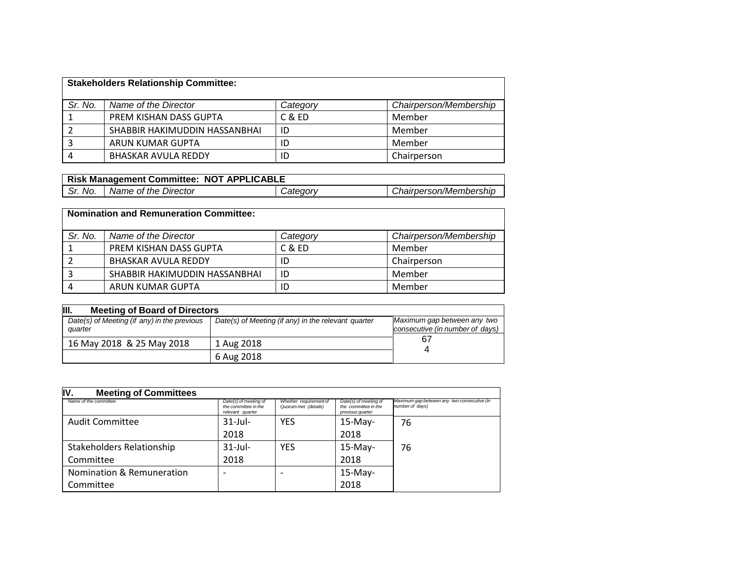| <b>Stakeholders Relationship Committee:</b> |                               |          |                        |  |  |
|---------------------------------------------|-------------------------------|----------|------------------------|--|--|
| Sr. No.                                     | Name of the Director          | Category | Chairperson/Membership |  |  |
|                                             | PREM KISHAN DASS GUPTA        | C & ED   | Member                 |  |  |
|                                             | SHABBIR HAKIMUDDIN HASSANBHAI | ID       | Member                 |  |  |
|                                             | ARUN KUMAR GUPTA              | ID       | Member                 |  |  |
|                                             | <b>BHASKAR AVULA REDDY</b>    | ID       | Chairperson            |  |  |

| Risk Management Committee: NOT APPLICABLE |                      |                 |                        |  |  |
|-------------------------------------------|----------------------|-----------------|------------------------|--|--|
| Sr. No.                                   | Name of the Director | <i>Category</i> | Chairperson/Membership |  |  |

| <b>Nomination and Remuneration Committee:</b> |                               |          |                        |  |  |
|-----------------------------------------------|-------------------------------|----------|------------------------|--|--|
| Sr. No.                                       | Name of the Director          | Category | Chairperson/Membership |  |  |
|                                               | PREM KISHAN DASS GUPTA        | C & ED   | Member                 |  |  |
|                                               | <b>BHASKAR AVULA REDDY</b>    | ID       | Chairperson            |  |  |
|                                               | SHABBIR HAKIMUDDIN HASSANBHAI | ID       | Member                 |  |  |
|                                               | ARUN KUMAR GUPTA              | ID       | Member                 |  |  |

| III.<br><b>Meeting of Board of Directors</b>           |                                                     |                                                                |  |  |  |
|--------------------------------------------------------|-----------------------------------------------------|----------------------------------------------------------------|--|--|--|
| Date(s) of Meeting (if any) in the previous<br>quarter | Date(s) of Meeting (if any) in the relevant quarter | Maximum gap between any two<br>consecutive (in number of days) |  |  |  |
| 16 May 2018 & 25 May 2018                              | 1 Aug 2018                                          | 67                                                             |  |  |  |
|                                                        | 6 Aug 2018                                          |                                                                |  |  |  |

| IV.<br><b>Meeting of Committees</b> |                                                                   |                                                |                                                                   |                                                                |
|-------------------------------------|-------------------------------------------------------------------|------------------------------------------------|-------------------------------------------------------------------|----------------------------------------------------------------|
| Name of the committee               | Date(s) of meeting of<br>the committee in the<br>relevant quarter | Whether requirement of<br>Quorum met (details) | Date(s) of meeting of<br>the committee in the<br>previous quarter | Maximum gap between any two consecutive (in<br>number of days) |
| Audit Committee                     | $31$ -Jul-                                                        | <b>YES</b>                                     | $15-May-$                                                         | 76                                                             |
|                                     | 2018                                                              |                                                | 2018                                                              |                                                                |
| Stakeholders Relationship           | $31$ -Jul-                                                        | <b>YES</b>                                     | $15-May-$                                                         | 76                                                             |
| Committee                           | 2018                                                              |                                                | 2018                                                              |                                                                |
| Nomination & Remuneration           |                                                                   |                                                | $15-May-$                                                         |                                                                |
| Committee                           |                                                                   |                                                | 2018                                                              |                                                                |